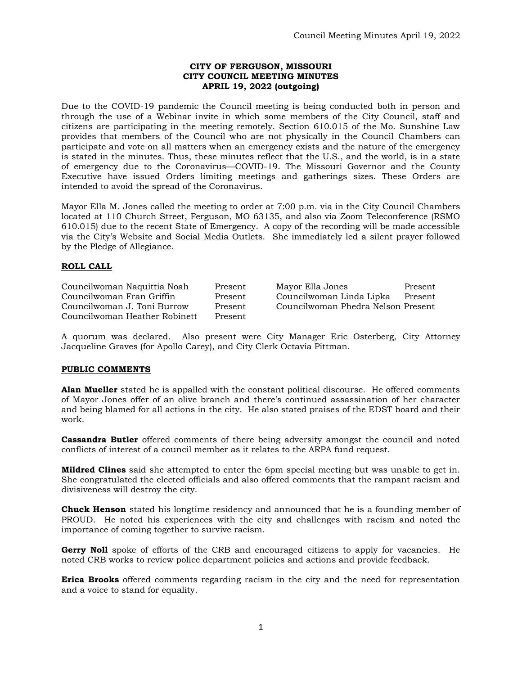### **CITY OF FERGUSON, MISSOURI CITY COUNCIL MEETING MINUTES APRIL 19, 2022 (outgoing)**

Due to the COVID-19 pandemic the Council meeting is being conducted both in person and through the use of a Webinar invite in which some members of the City Council, staff and citizens are participating in the meeting remotely. Section 610.015 of the Mo. Sunshine Law provides that members of the Council who are not physically in the Council Chambers can participate and vote on all matters when an emergency exists and the nature of the emergency is stated in the minutes. Thus, these minutes reflect that the U.S., and the world, is in a state of emergency due to the Coronavirus—COVID-19. The Missouri Governor and the County Executive have issued Orders limiting meetings and gatherings sizes. These Orders are intended to avoid the spread of the Coronavirus.

Mayor Ella M. Jones called the meeting to order at 7:00 p.m. via in the City Council Chambers located at 110 Church Street, Ferguson, MO 63135, and also via Zoom Teleconference (RSMO 610.015) due to the recent State of Emergency. A copy of the recording will be made accessible via the City's Website and Social Media Outlets. She immediately led a silent prayer followed by the Pledge of Allegiance.

### **ROLL CALL**

Councilwoman Fran Griffin Present Councilwoman Linda Lipka Present Councilwoman J. Toni Burrow Present Councilwoman Phedra Nelson Present Councilwoman Heather Robinett Present

Councilwoman Naquittia Noah Present Mayor Ella Jones Present

A quorum was declared. Also present were City Manager Eric Osterberg, City Attorney Jacqueline Graves (for Apollo Carey), and City Clerk Octavia Pittman.

# **PUBLIC COMMENTS**

**Alan Mueller** stated he is appalled with the constant political discourse. He offered comments of Mayor Jones offer of an olive branch and there's continued assassination of her character and being blamed for all actions in the city. He also stated praises of the EDST board and their work.

**Cassandra Butler** offered comments of there being adversity amongst the council and noted conflicts of interest of a council member as it relates to the ARPA fund request.

**Mildred Clines** said she attempted to enter the 6pm special meeting but was unable to get in. She congratulated the elected officials and also offered comments that the rampant racism and divisiveness will destroy the city.

**Chuck Henson** stated his longtime residency and announced that he is a founding member of PROUD. He noted his experiences with the city and challenges with racism and noted the importance of coming together to survive racism.

**Gerry Noll** spoke of efforts of the CRB and encouraged citizens to apply for vacancies. He noted CRB works to review police department policies and actions and provide feedback.

**Erica Brooks** offered comments regarding racism in the city and the need for representation and a voice to stand for equality.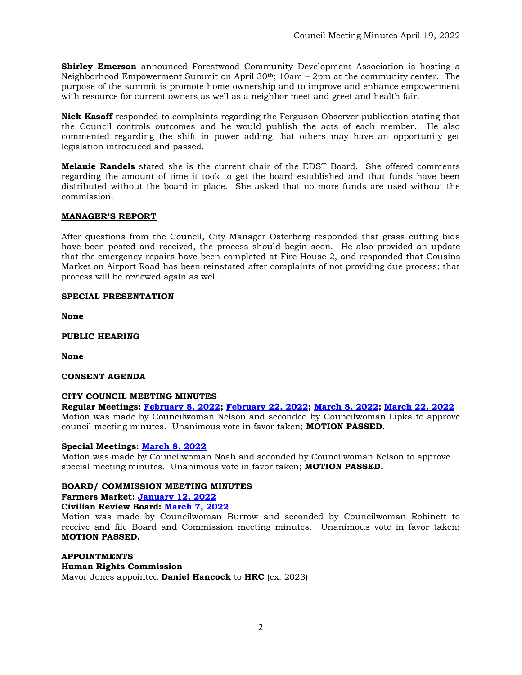**Shirley Emerson** announced Forestwood Community Development Association is hosting a Neighborhood Empowerment Summit on April 30th; 10am – 2pm at the community center. The purpose of the summit is promote home ownership and to improve and enhance empowerment with resource for current owners as well as a neighbor meet and greet and health fair.

**Nick Kasoff** responded to complaints regarding the Ferguson Observer publication stating that the Council controls outcomes and he would publish the acts of each member. He also commented regarding the shift in power adding that others may have an opportunity get legislation introduced and passed.

**Melanie Randels** stated she is the current chair of the EDST Board. She offered comments regarding the amount of time it took to get the board established and that funds have been distributed without the board in place. She asked that no more funds are used without the commission.

# **MANAGER'S REPORT**

After questions from the Council, City Manager Osterberg responded that grass cutting bids have been posted and received, the process should begin soon. He also provided an update that the emergency repairs have been completed at Fire House 2, and responded that Cousins Market on Airport Road has been reinstated after complaints of not providing due process; that process will be reviewed again as well.

# **SPECIAL PRESENTATION**

**None**

**PUBLIC HEARING**

**None**

# **CONSENT AGENDA**

# **CITY COUNCIL MEETING MINUTES**

**Regular Meetings: [February 8, 2022;](https://www.fergusoncity.com/DocumentCenter/View/5784/Council-Meeting-Minutes-020822) [February 22, 2022;](https://www.fergusoncity.com/DocumentCenter/View/5785/Council-Meeting-Minutes-022222) [March 8, 2022;](https://www.fergusoncity.com/DocumentCenter/View/5786/Council-Meeting-Minutes-030822) [March 22, 2022](https://www.fergusoncity.com/DocumentCenter/View/5791/Council-Meeting-Minutes-032222)** Motion was made by Councilwoman Nelson and seconded by Councilwoman Lipka to approve council meeting minutes. Unanimous vote in favor taken; **MOTION PASSED.** 

# **Special Meetings: [March 8, 2022](https://www.fergusoncity.com/DocumentCenter/View/5787/Council-special-meeting-minutes-030822)**

Motion was made by Councilwoman Noah and seconded by Councilwoman Nelson to approve special meeting minutes. Unanimous vote in favor taken; **MOTION PASSED.** 

# **BOARD/ COMMISSION MEETING MINUTES**

**Farmers Market: [January 12, 2022](https://www.fergusoncity.com/DocumentCenter/View/5783/1-12-22-FFM-Minutes)**

# **Civilian Review Board: [March 7, 2022](https://www.fergusoncity.com/DocumentCenter/View/5788/FCRB-Open-Meeting-Minutes-03072022)**

Motion was made by Councilwoman Burrow and seconded by Councilwoman Robinett to receive and file Board and Commission meeting minutes. Unanimous vote in favor taken; **MOTION PASSED.** 

#### **APPOINTMENTS**

# **Human Rights Commission**

Mayor Jones appointed **Daniel Hancock** to **HRC** (ex. 2023)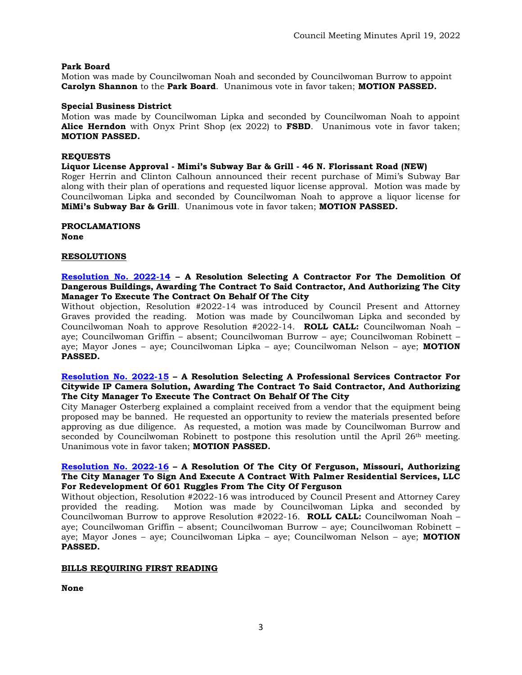#### **Park Board**

Motion was made by Councilwoman Noah and seconded by Councilwoman Burrow to appoint **Carolyn Shannon** to the **Park Board**. Unanimous vote in favor taken; **MOTION PASSED.** 

#### **Special Business District**

Motion was made by Councilwoman Lipka and seconded by Councilwoman Noah to appoint **Alice Herndon** with Onyx Print Shop (ex 2022) to **FSBD**. Unanimous vote in favor taken; **MOTION PASSED.** 

### **REQUESTS**

#### **Liquor License Approval - Mimi's Subway Bar & Grill - 46 N. Florissant Road (NEW)**

Roger Herrin and Clinton Calhoun announced their recent purchase of Mimi's Subway Bar along with their plan of operations and requested liquor license approval. Motion was made by Councilwoman Lipka and seconded by Councilwoman Noah to approve a liquor license for **MiMi's Subway Bar & Grill**. Unanimous vote in favor taken; **MOTION PASSED.** 

**PROCLAMATIONS** 

**None**

#### **RESOLUTIONS**

#### **[Resolution No. 2022-14](https://www.fergusoncity.com/DocumentCenter/View/5779/Resolution-No-2022-14---City-Wide-Derelict-House-Demolitions) – A Resolution Selecting A Contractor For The Demolition Of Dangerous Buildings, Awarding The Contract To Said Contractor, And Authorizing The City Manager To Execute The Contract On Behalf Of The City**

Without objection, Resolution #2022-14 was introduced by Council Present and Attorney Graves provided the reading. Motion was made by Councilwoman Lipka and seconded by Councilwoman Noah to approve Resolution #2022-14. **ROLL CALL:** Councilwoman Noah – aye; Councilwoman Griffin – absent; Councilwoman Burrow – aye; Councilwoman Robinett – aye; Mayor Jones – aye; Councilwoman Lipka – aye; Councilwoman Nelson – aye; **MOTION PASSED.**

#### **[Resolution No. 2022-15](https://www.fergusoncity.com/DocumentCenter/View/5780/Resolution-No-2022-15-Citywide-IP-Camera-Solution) – A Resolution Selecting A Professional Services Contractor For Citywide IP Camera Solution, Awarding The Contract To Said Contractor, And Authorizing The City Manager To Execute The Contract On Behalf Of The City**

City Manager Osterberg explained a complaint received from a vendor that the equipment being proposed may be banned. He requested an opportunity to review the materials presented before approving as due diligence. As requested, a motion was made by Councilwoman Burrow and seconded by Councilwoman Robinett to postpone this resolution until the April  $26<sup>th</sup>$  meeting. Unanimous vote in favor taken; **MOTION PASSED.** 

#### **[Resolution No. 2022-16](https://www.fergusoncity.com/DocumentCenter/View/5781/Resolution-No-2022-16-PRP---Palmer-April-2022) – A Resolution Of The City Of Ferguson, Missouri, Authorizing The City Manager To Sign And Execute A Contract With Palmer Residential Services, LLC For Redevelopment Of 601 Ruggles From The City Of Ferguson**

Without objection, Resolution #2022-16 was introduced by Council Present and Attorney Carey provided the reading. Motion was made by Councilwoman Lipka and seconded by Councilwoman Burrow to approve Resolution #2022-16. **ROLL CALL:** Councilwoman Noah – aye; Councilwoman Griffin – absent; Councilwoman Burrow – aye; Councilwoman Robinett – aye; Mayor Jones – aye; Councilwoman Lipka – aye; Councilwoman Nelson – aye; **MOTION PASSED.**

#### **BILLS REQUIRING FIRST READING**

**None**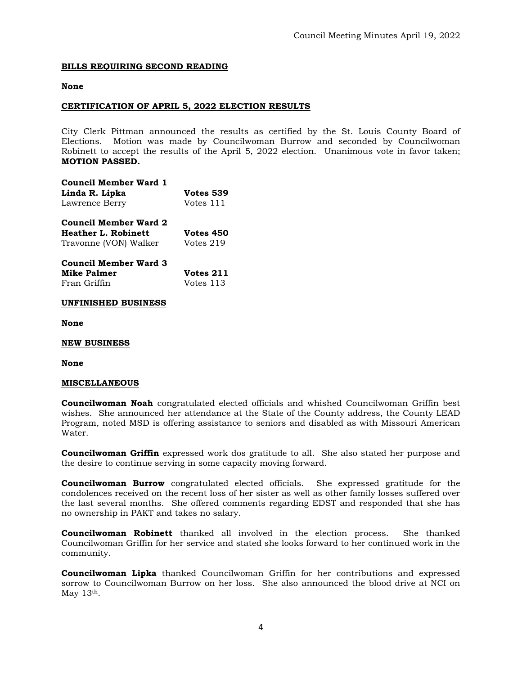## **BILLS REQUIRING SECOND READING**

#### **None**

### **CERTIFICATION OF APRIL 5, 2022 ELECTION RESULTS**

City Clerk Pittman announced the results as certified by the St. Louis County Board of Elections. Motion was made by Councilwoman Burrow and seconded by Councilwoman Robinett to accept the results of the April 5, 2022 election. Unanimous vote in favor taken; **MOTION PASSED.** 

| <b>Council Member Ward 1</b> |                  |  |
|------------------------------|------------------|--|
| Linda R. Lipka               | <b>Votes 539</b> |  |
| Lawrence Berry               | Votes 111        |  |
| <b>Council Member Ward 2</b> |                  |  |
| <b>Heather L. Robinett</b>   | <b>Votes 450</b> |  |
| Travonne (VON) Walker        | Votes 219        |  |
| <b>Council Member Ward 3</b> |                  |  |
| <b>Mike Palmer</b>           | <b>Votes 211</b> |  |

Fran Griffin Votes 113

# **UNFINISHED BUSINESS**

**None**

#### **NEW BUSINESS**

#### **None**

#### **MISCELLANEOUS**

**Councilwoman Noah** congratulated elected officials and whished Councilwoman Griffin best wishes. She announced her attendance at the State of the County address, the County LEAD Program, noted MSD is offering assistance to seniors and disabled as with Missouri American Water.

**Councilwoman Griffin** expressed work dos gratitude to all. She also stated her purpose and the desire to continue serving in some capacity moving forward.

**Councilwoman Burrow** congratulated elected officials. She expressed gratitude for the condolences received on the recent loss of her sister as well as other family losses suffered over the last several months. She offered comments regarding EDST and responded that she has no ownership in PAKT and takes no salary.

**Councilwoman Robinett** thanked all involved in the election process. She thanked Councilwoman Griffin for her service and stated she looks forward to her continued work in the community.

**Councilwoman Lipka** thanked Councilwoman Griffin for her contributions and expressed sorrow to Councilwoman Burrow on her loss. She also announced the blood drive at NCI on May 13<sup>th</sup>.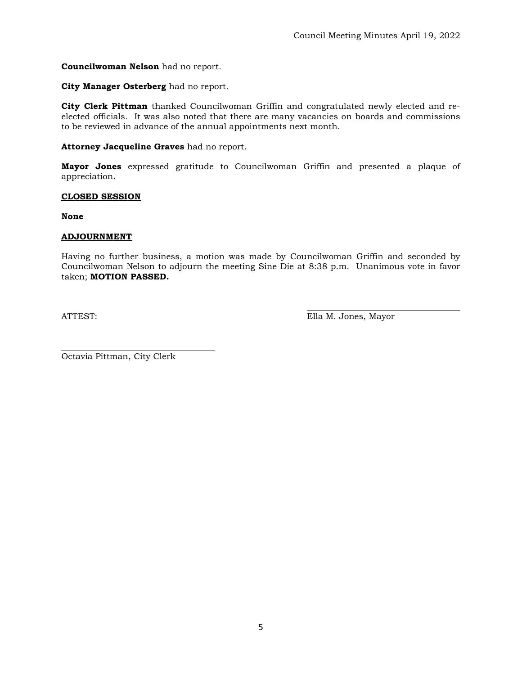# **Councilwoman Nelson** had no report.

### **City Manager Osterberg** had no report.

**City Clerk Pittman** thanked Councilwoman Griffin and congratulated newly elected and reelected officials. It was also noted that there are many vacancies on boards and commissions to be reviewed in advance of the annual appointments next month.

#### **Attorney Jacqueline Graves** had no report.

**Mayor Jones** expressed gratitude to Councilwoman Griffin and presented a plaque of appreciation.

#### **CLOSED SESSION**

**None**

# **ADJOURNMENT**

Having no further business, a motion was made by Councilwoman Griffin and seconded by Councilwoman Nelson to adjourn the meeting Sine Die at 8:38 p.m. Unanimous vote in favor taken; **MOTION PASSED.** 

ATTEST: Ella M. Jones, Mayor

Octavia Pittman, City Clerk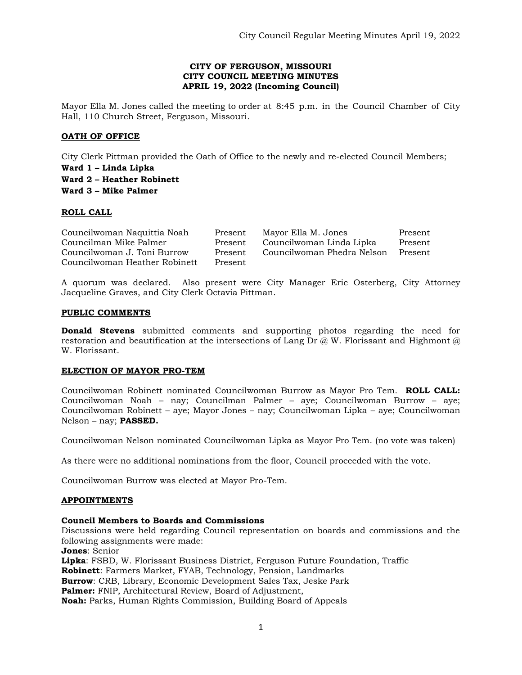### **CITY OF FERGUSON, MISSOURI CITY COUNCIL MEETING MINUTES APRIL 19, 2022 (Incoming Council)**

Mayor Ella M. Jones called the meeting to order at 8:45 p.m. in the Council Chamber of City Hall, 110 Church Street, Ferguson, Missouri.

# **OATH OF OFFICE**

City Clerk Pittman provided the Oath of Office to the newly and re-elected Council Members;

**Ward 1 – Linda Lipka Ward 2 – Heather Robinett Ward 3 – Mike Palmer**

### **ROLL CALL**

| Councilwoman Naquittia Noah   | Present | Mayor Ella M. Jones        | Present |
|-------------------------------|---------|----------------------------|---------|
| Councilman Mike Palmer        | Present | Councilwoman Linda Lipka   | Present |
| Councilwoman J. Toni Burrow   | Present | Councilwoman Phedra Nelson | Present |
| Councilwoman Heather Robinett | Present |                            |         |

A quorum was declared. Also present were City Manager Eric Osterberg, City Attorney Jacqueline Graves, and City Clerk Octavia Pittman.

### **PUBLIC COMMENTS**

**Donald Stevens** submitted comments and supporting photos regarding the need for restoration and beautification at the intersections of Lang Dr  $\omega$ , W. Florissant and Highmont  $\omega$ W. Florissant.

# **ELECTION OF MAYOR PRO-TEM**

Councilwoman Robinett nominated Councilwoman Burrow as Mayor Pro Tem. **ROLL CALL:**  Councilwoman Noah – nay; Councilman Palmer – aye; Councilwoman Burrow – aye; Councilwoman Robinett – aye; Mayor Jones – nay; Councilwoman Lipka – aye; Councilwoman Nelson – nay; **PASSED.** 

Councilwoman Nelson nominated Councilwoman Lipka as Mayor Pro Tem. (no vote was taken)

As there were no additional nominations from the floor, Council proceeded with the vote.

Councilwoman Burrow was elected at Mayor Pro-Tem.

# **APPOINTMENTS**

#### **Council Members to Boards and Commissions**

Discussions were held regarding Council representation on boards and commissions and the following assignments were made:

**Jones**: Senior

**Lipka**: FSBD, W. Florissant Business District, Ferguson Future Foundation, Traffic **Robinett**: Farmers Market, FYAB, Technology, Pension, Landmarks **Burrow**: CRB, Library, Economic Development Sales Tax, Jeske Park **Palmer:** FNIP, Architectural Review, Board of Adjustment, **Noah:** Parks, Human Rights Commission, Building Board of Appeals